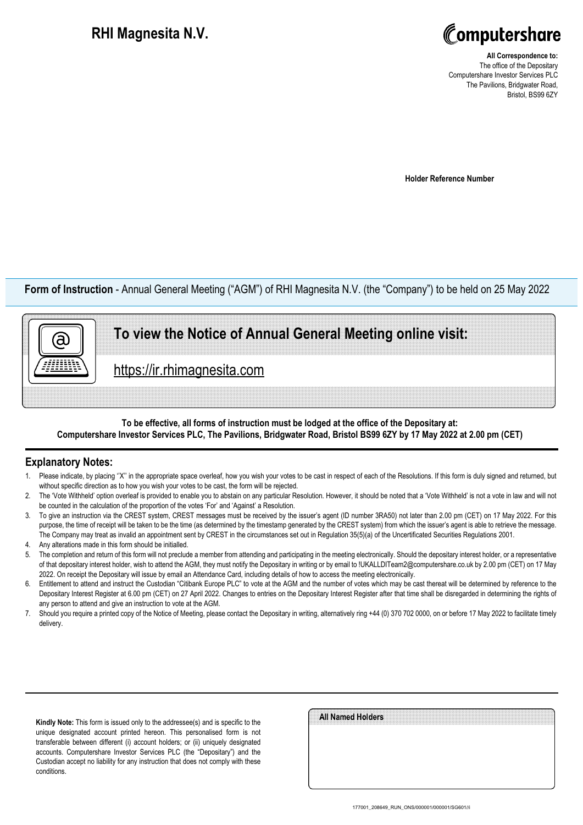## **RHI Magnesita N.V.**



**All Correspondence to:** The office of the Depositary Computershare Investor Services PLC The Pavilions, Bridgwater Road, Bristol, BS99 6ZY

**Holder Reference Number**

**Form of Instruction** - Annual General Meeting ("AGM") of RHI Magnesita N.V. (the "Company") to be held on 25 May 2022

## **To view the Notice of Annual General Meeting online visit:**

https://ir.rhimagnesita.com

### **To be effective, all forms of instruction must be lodged at the office of the Depositary at: Computershare Investor Services PLC, The Pavilions, Bridgwater Road, Bristol BS99 6ZY by 17 May 2022 at 2.00 pm (CET)**

### **Explanatory Notes:**

ā)

- 1. Please indicate, by placing ''X'' in the appropriate space overleaf, how you wish your votes to be cast in respect of each of the Resolutions. If this form is duly signed and returned, but without specific direction as to how you wish your votes to be cast, the form will be rejected.
- 2. The 'Vote Withheld' option overleaf is provided to enable you to abstain on any particular Resolution. However, it should be noted that a 'Vote Withheld' is not a vote in law and will not be counted in the calculation of the proportion of the votes 'For' and 'Against' a Resolution.
- 3. To give an instruction via the CREST system, CREST messages must be received by the issuer's agent (ID number 3RA50) not later than 2.00 pm (CET) on 17 May 2022. For this purpose, the time of receipt will be taken to be the time (as determined by the timestamp generated by the CREST system) from which the issuer's agent is able to retrieve the message. The Company may treat as invalid an appointment sent by CREST in the circumstances set out in Regulation 35(5)(a) of the Uncertificated Securities Regulations 2001.
- 4. Any alterations made in this form should be initialled.
- The completion and return of this form will not preclude a member from attending and participating in the meeting electronically. Should the depositary interest holder, or a representative of that depositary interest holder, wish to attend the AGM, they must notify the Depositary in writing or by email to !UKALLDITeam2@computershare.co.uk by 2.00 pm (CET) on 17 May 2022. On receipt the Depositary will issue by email an Attendance Card, including details of how to access the meeting electronically.
- 6. Entitlement to attend and instruct the Custodian "Citibank Europe PLC" to vote at the AGM and the number of votes which may be cast thereat will be determined by reference to the Depositary Interest Register at 6.00 pm (CET) on 27 April 2022. Changes to entries on the Depositary Interest Register after that time shall be disregarded in determining the rights of any person to attend and give an instruction to vote at the AGM.
- 7. Should you require a printed copy of the Notice of Meeting, please contact the Depositary in writing, alternatively ring +44 (0) 370 702 0000, on or before 17 May 2022 to facilitate timely delivery.

**Kindly Note:** This form is issued only to the addressee(s) and is specific to the unique designated account printed hereon. This personalised form is not transferable between different (i) account holders; or (ii) uniquely designated accounts. Computershare Investor Services PLC (the "Depositary") and the Custodian accept no liability for any instruction that does not comply with these conditions.

| All Named Holders |  |
|-------------------|--|
|                   |  |
|                   |  |
|                   |  |
|                   |  |
|                   |  |